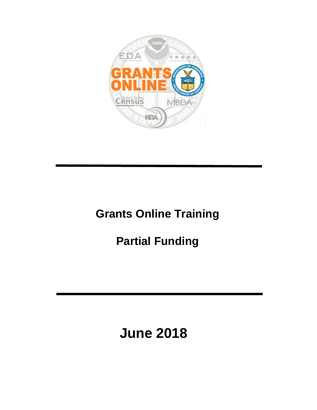

# **Grants Online Training**

# **Partial Funding**

# **June 2018**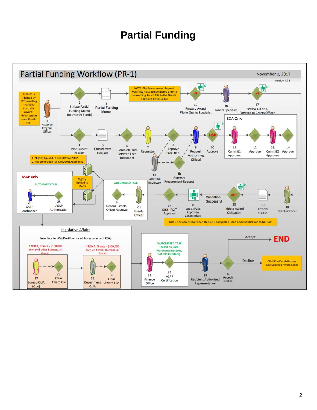#### **Partial Funding**

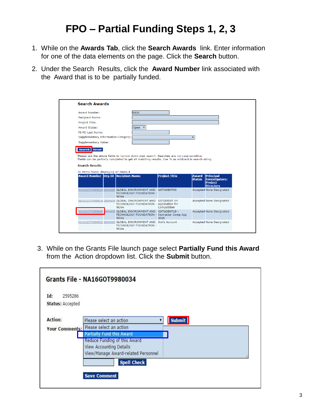### **FPO – Partial Funding Steps 1, 2, 3**

- 1. While on the **Awards Tab**, click the **Search Awards** link. Enter information for one of the data elements on the page. Click the **Search** button.
- 2. Under the Search Results, click the **Award Number** link associated with the Award that is to be partially funded.

| <b>NA16</b><br><b>Award Status:</b><br>Open $\overline{v}$<br>PT-PD Last Name:<br>Supplementary Information Category:<br>$\overline{\mathbf{v}}$<br><b>Supplementary Value:</b><br><b>Reset</b><br>Search  <br>Please use the above fields to narrow down your search. Searches are not case-sensitive.<br>Fields can be partially completed to get all matching results. Use % as wildcard in search string.<br>31 items found, displaying all items.1<br><b>Award Number Org ID Recipient Name</b><br><b>Project Title</b><br><b>Principal</b><br><b>Award</b><br>Investigators-<br><b>Status</b><br><b>Project</b><br><b>Directors</b> |                        |             |                                |  |                                 |  |
|-------------------------------------------------------------------------------------------------------------------------------------------------------------------------------------------------------------------------------------------------------------------------------------------------------------------------------------------------------------------------------------------------------------------------------------------------------------------------------------------------------------------------------------------------------------------------------------------------------------------------------------------|------------------------|-------------|--------------------------------|--|---------------------------------|--|
|                                                                                                                                                                                                                                                                                                                                                                                                                                                                                                                                                                                                                                           | <b>Award Number:</b>   |             |                                |  |                                 |  |
|                                                                                                                                                                                                                                                                                                                                                                                                                                                                                                                                                                                                                                           | <b>Recipient Name:</b> |             |                                |  |                                 |  |
|                                                                                                                                                                                                                                                                                                                                                                                                                                                                                                                                                                                                                                           | Project Title:         |             |                                |  |                                 |  |
|                                                                                                                                                                                                                                                                                                                                                                                                                                                                                                                                                                                                                                           |                        |             |                                |  |                                 |  |
|                                                                                                                                                                                                                                                                                                                                                                                                                                                                                                                                                                                                                                           |                        |             |                                |  |                                 |  |
|                                                                                                                                                                                                                                                                                                                                                                                                                                                                                                                                                                                                                                           |                        |             |                                |  |                                 |  |
|                                                                                                                                                                                                                                                                                                                                                                                                                                                                                                                                                                                                                                           |                        |             |                                |  |                                 |  |
| NA16GOT9980018 2004695 GLOBAL ENVIRONMENT AND GSTUDENT03                                                                                                                                                                                                                                                                                                                                                                                                                                                                                                                                                                                  |                        |             |                                |  |                                 |  |
|                                                                                                                                                                                                                                                                                                                                                                                                                                                                                                                                                                                                                                           |                        | <b>NOAA</b> | <b>TECHNOLOGY FOUNDATION -</b> |  | <b>Accepted None Designated</b> |  |
| <b>Accepted None Designated</b><br>NA16GOT9980016 2004695 GLOBAL ENVIRONMENT AND GSTUDENT-04<br>TECHNOLOGY FOUNDATION - Application for<br>Competition<br><b>NOAA</b>                                                                                                                                                                                                                                                                                                                                                                                                                                                                     | <b>Search Results</b>  |             |                                |  |                                 |  |
| NA16GOT9980034<br>004695 GLOBAL ENVIRONMENT AND GSTUDENT15 -<br><b>Accepted None Designated</b><br>TECHNOLOGY FOUNDATION - Instructor Comp App<br><b>NOAA</b><br>2016                                                                                                                                                                                                                                                                                                                                                                                                                                                                     |                        |             |                                |  |                                 |  |

3. While on the Grants File launch page select **Partially Fund this Award**  from the Action dropdown list. Click the **Submit** button.

| <b>Submit</b><br>Please select an action<br>Your Comments: Please select an action<br><b>Partially Fund this Award</b><br>Reduce Funding of this Award<br>View Accounting Details | Id:<br>2595286<br><b>Status: Accepted</b> |                                     |  |
|-----------------------------------------------------------------------------------------------------------------------------------------------------------------------------------|-------------------------------------------|-------------------------------------|--|
|                                                                                                                                                                                   | <b>Action:</b>                            |                                     |  |
|                                                                                                                                                                                   |                                           |                                     |  |
|                                                                                                                                                                                   |                                           | View/Manage Award-related Personnel |  |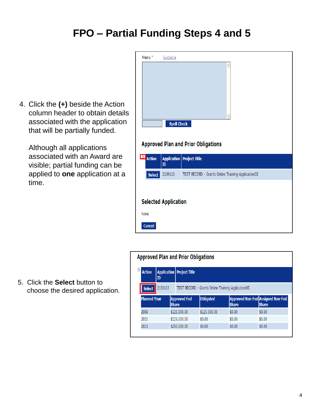#### **FPO – Partial Funding Steps 4 and 5**

4. Click the **(+)** beside the Action column header to obtain details associated with the application that will be partially funded.

Although all applications associated with an Award are visible; partial funding can be applied to **one** application at a time.

| Memo <sup>*</sup>     | Guidance                    |                                                    |
|-----------------------|-----------------------------|----------------------------------------------------|
|                       | <b>Spell Check</b>          | <b>Approved Plan and Prior Obligations</b>         |
| E<br><b>Action</b>    | ID                          | <b>Application</b> Project Title                   |
| <b>Select</b>         | 2139113                     | TEST RECORD - Grants Online Training Application05 |
| None<br><b>Cancel</b> | <b>Selected Application</b> |                                                    |

#### **Approved Plan and Prior Obligations**

| Ė.<br><b>Action</b> | <b>Application   Project Title</b><br>ID |                                     |                                                    |              |                                                   |
|---------------------|------------------------------------------|-------------------------------------|----------------------------------------------------|--------------|---------------------------------------------------|
| <b>Select</b>       | 2139113                                  |                                     | TEST RECORD - Grants Online Training Application05 |              |                                                   |
| <b>Planned Year</b> |                                          | <b>Approved Fed</b><br><b>Share</b> | <b>Obligated</b>                                   | <b>Share</b> | Approved Non-Fed Assigned Non-Fed<br><b>Share</b> |
| 2009                |                                          | \$125,000.00                        | \$125,000.00                                       | \$0.00       | \$0.00                                            |
| 2010                |                                          | \$125,000.00                        | \$0.00                                             | \$0.00       | \$0.00                                            |
| 2011                |                                          | \$250,000.00                        | \$0.00                                             | \$0.00       | \$0.00                                            |

5. Click the **Select** button to choose the desired application.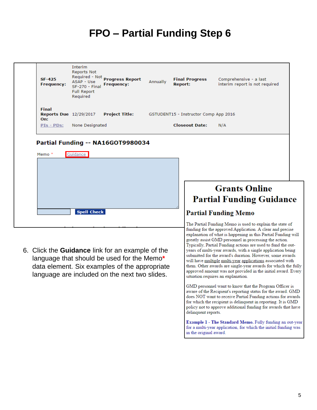## **FPO – Partial Funding Step 6**

| Final<br><b>Reports Due 12/29/2017</b><br><b>Project Title:</b><br>GSTUDENT15 - Instructor Comp App 2016<br>On:<br>None Designated<br><b>Closeout Date:</b><br><u> PIs - PDs:</u><br>N/A<br>Partial Funding -- NA16GOT9980034<br>Guidance<br>Memo *<br><b>Grants Online</b><br><b>Partial Funding Guidance</b><br><b>Spell Check</b><br><b>Partial Funding Memo</b><br>The Partial Funding Memo is used to explain the state of<br>funding for the approved Application. A clear and precise<br>explanation of what is happening in this Partial Funding will<br>greatly assist GMD personnel in processing the action.<br>Typically, Partial Funding actions are used to fund the out-<br>6. Click the <b>Guidance</b> link for an example of the<br>years of multi-year awards, with a single application being<br>submitted for the award's duration. However, some awards<br>language that should be used for the Memo*<br>will have multiple multi-year applications associated with<br>them. Other awards are single-year awards for which the fully<br>data element. Six examples of the appropriate<br>approved amount was not provided in the initial award. Every<br>language are included on the next two slides.<br>situation requires an explanation.<br>GMD personnel want to know that the Program Officer is<br>aware of the Recipient's reporting status for the award. GMD<br>does NOT want to receive Partial Funding actions for awards<br>for which the recipient is delinquent in reporting. It is GMD<br>policy not to approve additional funding for awards that have | SF-425<br><b>Frequency:</b> | Interim<br><b>Reports Not</b><br>Required - Not<br>ASAP - Use<br><b>SF-270 - Final</b><br><b>Full Report</b><br>Required | <b>Progress Report</b><br><b>Frequency:</b> | Annually | <b>Report:</b> | <b>Final Progress</b> | Comprehensive - a last<br>interim report is not required |  |
|-----------------------------------------------------------------------------------------------------------------------------------------------------------------------------------------------------------------------------------------------------------------------------------------------------------------------------------------------------------------------------------------------------------------------------------------------------------------------------------------------------------------------------------------------------------------------------------------------------------------------------------------------------------------------------------------------------------------------------------------------------------------------------------------------------------------------------------------------------------------------------------------------------------------------------------------------------------------------------------------------------------------------------------------------------------------------------------------------------------------------------------------------------------------------------------------------------------------------------------------------------------------------------------------------------------------------------------------------------------------------------------------------------------------------------------------------------------------------------------------------------------------------------------------------------------------------------------------------|-----------------------------|--------------------------------------------------------------------------------------------------------------------------|---------------------------------------------|----------|----------------|-----------------------|----------------------------------------------------------|--|
|                                                                                                                                                                                                                                                                                                                                                                                                                                                                                                                                                                                                                                                                                                                                                                                                                                                                                                                                                                                                                                                                                                                                                                                                                                                                                                                                                                                                                                                                                                                                                                                               |                             |                                                                                                                          |                                             |          |                |                       |                                                          |  |
|                                                                                                                                                                                                                                                                                                                                                                                                                                                                                                                                                                                                                                                                                                                                                                                                                                                                                                                                                                                                                                                                                                                                                                                                                                                                                                                                                                                                                                                                                                                                                                                               |                             |                                                                                                                          |                                             |          |                |                       |                                                          |  |
| delinquent reports.<br>Example 1 - The Standard Memo. Fully funding an out-year                                                                                                                                                                                                                                                                                                                                                                                                                                                                                                                                                                                                                                                                                                                                                                                                                                                                                                                                                                                                                                                                                                                                                                                                                                                                                                                                                                                                                                                                                                               |                             |                                                                                                                          |                                             |          |                |                       |                                                          |  |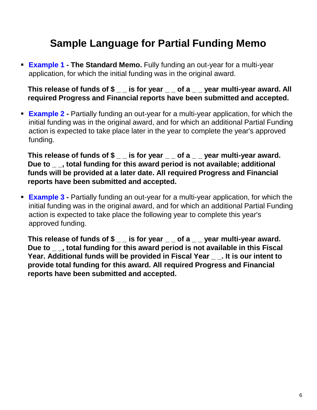#### **Sample Language for Partial Funding Memo**

 **Example 1 - The Standard Memo.** Fully funding an out-year for a multi-year application, for which the initial funding was in the original award.

**This release of funds of \$ \_ \_ is for year \_ \_ of a \_ \_ year multi-year award. All required Progress and Financial reports have been submitted and accepted.**

 **Example 2 -** Partially funding an out-year for a multi-year application, for which the initial funding was in the original award, and for which an additional Partial Funding action is expected to take place later in the year to complete the year's approved funding.

This release of funds of  $\text{\$}_{\text{\_}}$  is for year \_ of a \_ \_ year multi-year award. **Due to \_ \_, total funding for this award period is not available; additional funds will be provided at a later date. All required Progress and Financial reports have been submitted and accepted.**

 **Example 3 -** Partially funding an out-year for a multi-year application, for which the initial funding was in the original award, and for which an additional Partial Funding action is expected to take place the following year to complete this year's approved funding.

This release of funds of  $\gamma$ <sub>\_\_</sub> is for year \_\_ of a \_\_ year multi-year award. **Due to \_ \_, total funding for this award period is not available in this Fiscal Year. Additional funds will be provided in Fiscal Year \_ \_. It is our intent to provide total funding for this award. All required Progress and Financial reports have been submitted and accepted.**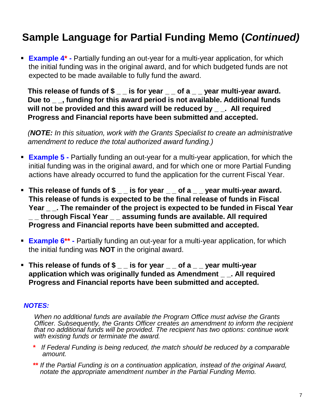### **Sample Language for Partial Funding Memo (***Continued)*

 **Example 4\* -** Partially funding an out-year for a multi-year application, for which the initial funding was in the original award, and for which budgeted funds are not expected to be made available to fully fund the award.

This release of funds of \$\_\_\_ is for year \_\_ of a \_\_ year multi-year award. **Due to \_ \_, funding for this award period is not available. Additional funds**  will not be provided and this award will be reduced by \_ \_. All required **Progress and Financial reports have been submitted and accepted.**

*(NOTE: In this situation, work with the Grants Specialist to create an administrative amendment to reduce the total authorized award funding.)*

- **Example 5 -** Partially funding an out-year for a multi-year application, for which the initial funding was in the original award, and for which one or more Partial Funding actions have already occurred to fund the application for the current Fiscal Year.
- **This release of funds of \$** is for year of a year multi-year award. **This release of funds is expected to be the final release of funds in Fiscal Year \_ \_. The remainder of the project is expected to be funded in Fiscal Year \_ \_ through Fiscal Year \_ \_ assuming funds are available. All required Progress and Financial reports have been submitted and accepted.**
- **Example 6<sup>\*\*</sup> -** Partially funding an out-year for a multi-year application, for which the initial funding was **NOT** in the original award.
- **This release of funds of \$ \_ \_ is for year \_ \_ of a \_ \_ year multi-year application which was originally funded as Amendment \_ \_. All required Progress and Financial reports have been submitted and accepted.**

#### *NOTES:*

*When no additional funds are available the Program Office must advise the Grants Officer. Subsequently, the Grants Officer creates an amendment to inform the recipient that no additional funds will be provided. The recipient has two options: continue work with existing funds or terminate the award.*

- **\*** *If Federal Funding is being reduced, the match should be reduced by a comparable amount.*
- **\*\*** *If the Partial Funding is on a continuation application, instead of the original Award, notate the appropriate amendment number in the Partial Funding Memo.*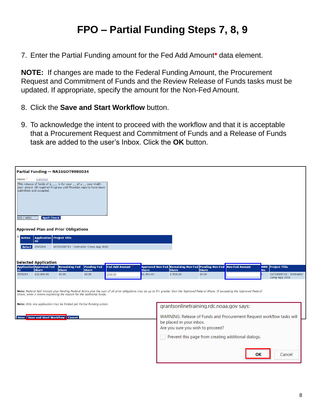#### **FPO – Partial Funding Steps 7, 8, 9**

7. Enter the Partial Funding amount for the Fed Add Amount**\*** data element.

**NOTE:** If changes are made to the Federal Funding Amount, the Procurement Request and Commitment of Funds and the Review Release of Funds tasks must be updated. If appropriate, specify the amount for the Non-Fed Amount.

- 8. Click the **Save and Start Workflow** button.
- 9. To acknowledge the intent to proceed with the workflow and that it is acceptable that a Procurement Request and Commitment of Funds and a Release of Funds task are added to the user's Inbox. Click the **OK** button.

|                                 |                                                                                         | Partial Funding -- NA16GOT9980034                                                                                                          |                        |                                                                                                                                                                                      |                            |                                                                   |                        |                                                                       |     |                          |
|---------------------------------|-----------------------------------------------------------------------------------------|--------------------------------------------------------------------------------------------------------------------------------------------|------------------------|--------------------------------------------------------------------------------------------------------------------------------------------------------------------------------------|----------------------------|-------------------------------------------------------------------|------------------------|-----------------------------------------------------------------------|-----|--------------------------|
| Memo <sup>*</sup><br>155 / 4000 | Guidance<br>submitted and accepted.<br><b>Spell Check</b>                               | This release of funds of \$_____ is for year ___ of a ___ year multi-<br>year award. All required Progress and Financial reports have been |                        |                                                                                                                                                                                      |                            |                                                                   |                        |                                                                       |     |                          |
|                                 |                                                                                         | <b>Approved Plan and Prior Obligations</b>                                                                                                 |                        |                                                                                                                                                                                      |                            |                                                                   |                        |                                                                       |     |                          |
| <b>Action</b>                   | <b>Application Project Title</b><br>ID                                                  |                                                                                                                                            |                        |                                                                                                                                                                                      |                            |                                                                   |                        |                                                                       |     |                          |
| Select                          | 2595204                                                                                 | GSTUDENT15 - Instructor Comp App 2016                                                                                                      |                        |                                                                                                                                                                                      |                            |                                                                   |                        |                                                                       |     |                          |
|                                 | <b>Selected Application</b><br><b>Application</b><br><b>Application</b><br><b>Share</b> | <b>Remaining Fed</b>                                                                                                                       | <b>Pending Fed</b>     | <b>Fed Add Amount</b>                                                                                                                                                                |                            | Approved Non-Fed Remaining Non-Fed Pending Non-Fed Non-Fed Amount |                        |                                                                       |     | <b>AMD</b> Project Title |
| 2595204                         | \$10,000.00                                                                             | <b>Share</b><br>\$0.00                                                                                                                     | <b>Share</b><br>\$0.00 | 2500.00                                                                                                                                                                              | <b>Share</b><br>\$1,000.00 | <b>Share</b><br>$$-500.00$                                        | <b>Share</b><br>\$0.00 |                                                                       | No. | GSTUDENT15 - Instructor  |
|                                 |                                                                                         | Share, enter a memo explaining the reason for the additional funds.                                                                        |                        | Note: Federal Add Amount plus Pending Federal Share plus the sum of all prior obligations may be up to 5% greater than the Approved Federal Share. If exceeding the Approved Federal |                            |                                                                   |                        |                                                                       |     | Comp App 2016            |
|                                 |                                                                                         | Note: Only one application may be funded per Partial Funding action.                                                                       |                        |                                                                                                                                                                                      |                            | grantsonlinetraining.rdc.noaa.gov says:                           |                        |                                                                       |     |                          |
|                                 |                                                                                         | <b>Save Save and Start Workflow Cancel</b>                                                                                                 |                        |                                                                                                                                                                                      |                            | be placed in your inbox.<br>Are you sure you wish to proceed?     |                        | WARNING: Release of Funds and Procurement Request workflow tasks will |     |                          |
|                                 |                                                                                         |                                                                                                                                            |                        |                                                                                                                                                                                      |                            |                                                                   |                        | Prevent this page from creating additional dialogs.                   |     |                          |
|                                 |                                                                                         |                                                                                                                                            |                        |                                                                                                                                                                                      |                            |                                                                   |                        | ОΚ                                                                    |     | Cancel                   |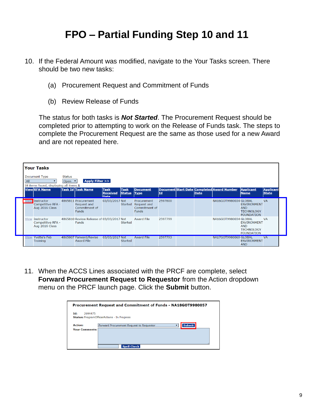#### **FPO – Partial Funding Step 10 and 11**

- 10. If the Federal Amount was modified, navigate to the Your Tasks screen. There should be two new tasks:
	- (a) Procurement Request and Commitment of Funds
	- (b) Review Release of Funds

The status for both tasks is *Not Started*. The Procurement Request should be completed prior to attempting to work on the Release of Funds task. The steps to complete the Procurement Request are the same as those used for a new Award and are not repeated here.

| All | <b>Your Tasks</b><br>Document Type                             | <b>Status</b><br>Open v | Apply Filter >>                                                     |                                        |                              |                                                             |         |      |                                            |                                                                            |                                  |
|-----|----------------------------------------------------------------|-------------------------|---------------------------------------------------------------------|----------------------------------------|------------------------------|-------------------------------------------------------------|---------|------|--------------------------------------------|----------------------------------------------------------------------------|----------------------------------|
|     | 18 items found, displaying all items.1<br><b>View RFA Name</b> |                         | <b>Task Id Task Name</b>                                            | <b>Task</b><br><b>Received</b><br>Date | <b>Task</b><br><b>Status</b> | <b>Document</b><br><b>Type</b>                              | Id      | Date | Document Start Date Completed Award Number | <b>Applicant</b><br><b>Name</b>                                            | <b>Applicant</b><br><b>State</b> |
|     | <b>View Instructor</b><br>Competitive RFA -<br>Aug 2016 Class  |                         | 4865811 Procurement<br>Request and<br>Commitment of<br><b>Funds</b> | 03/03/2017 Not                         | Started                      | Procurement<br>Request and<br>Commitment of<br><b>Funds</b> | 2597800 |      | NA16GOT9980034 GLOBAL                      | <b>ENVIRONMENT</b><br><b>AND</b><br><b>TECHNOLOGY</b><br><b>FOUNDATION</b> | <b>VA</b>                        |
|     | <b>View Instructor</b><br>Competitive RFA -<br>Aug 2016 Class  |                         | 4865810 Review Release of 03/03/2017 Not<br><b>Funds</b>            |                                        | Started                      | <b>Award File</b>                                           | 2597799 |      | NA16GOT9980034 GLOBAL                      | <b>ENVIRONMENT</b><br><b>AND</b><br><b>TECHNOLOGY</b><br><b>FOUNDATION</b> | <b>VA</b>                        |
|     | View Yvette's Feb<br><b>Training</b>                           |                         | 4865807 Forward/Revise<br><b>Award File</b>                         | 03/03/2017 Not                         | Started                      | <b>Award File</b>                                           | 2597793 |      | NA17GOT9980069 GLOBAL                      | <b>ENVIRONMENT</b><br><b>AND</b>                                           | <b>VA</b>                        |

11. When the ACCS Lines associated with the PRCF are complete, select **Forward Procurement Request to Requestor** from the Action dropdown menu on the PRCF launch page. Click the **Submit** button.

|                                         | Procurement Request and Commitment of Funds - NA18GOT9980057                    |
|-----------------------------------------|---------------------------------------------------------------------------------|
| Id:<br>2694475                          | <b>Status: ProgramOfficerActions - In Progress</b>                              |
| <b>Action:</b><br><b>Your Comments:</b> | <b>Submit</b><br>Forward Procurement Request to Requestor<br><b>Spell Check</b> |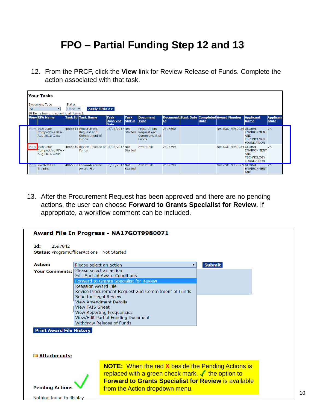#### **FPO – Partial Funding Step 12 and 13**

12. From the PRCF, click the **View** link for Review Release of Funds. Complete the action associated with that task.

|      | <b>Your Tasks</b>                                              |                         |                                                                     |                                        |                              |                                                                     |         |      |                                            |                                                                            |                                  |
|------|----------------------------------------------------------------|-------------------------|---------------------------------------------------------------------|----------------------------------------|------------------------------|---------------------------------------------------------------------|---------|------|--------------------------------------------|----------------------------------------------------------------------------|----------------------------------|
| All  | Document Type                                                  | <b>Status</b><br>Open v | Apply Filter >>                                                     |                                        |                              |                                                                     |         |      |                                            |                                                                            |                                  |
|      | 18 items found, displaying all items.1<br><b>View RFA Name</b> |                         | Task Id Task Name                                                   | <b>Task</b><br><b>Received</b><br>Date | <b>Task</b><br><b>Status</b> | <b>Document</b><br><b>Type</b>                                      | Id      | Date | Document Start Date Completed Award Number | <b>Applicant</b><br><b>Name</b>                                            | <b>Applicant</b><br><b>State</b> |
|      | <b>View Instructor</b><br>Competitive RFA -<br>Aug 2016 Class  |                         | 4865811 Procurement<br>Request and<br>Commitment of<br><b>Funds</b> | 03/03/2017 Not                         |                              | Procurement<br>Started Request and<br>Commitment of<br><b>Funds</b> | 2597800 |      | NA16GOT9980034 GLOBAL                      | <b>ENVIRONMENT</b><br><b>AND</b><br><b>TECHNOLOGY</b><br><b>FOUNDATION</b> | <b>VA</b>                        |
|      | View Instructor<br>Competitive RFA -<br>Aug 2016 Class         |                         | 4865810 Review Release of 03/03/2017 Not<br><b>Funds</b>            |                                        | <b>Started</b>               | <b>Award File</b>                                                   | 2597799 |      | NA16GOT9980034 GLOBAL                      | <b>ENVIRONMENT</b><br><b>AND</b><br><b>TECHNOLOGY</b><br><b>FOUNDATION</b> | <b>VA</b>                        |
| View | Yvette's Feb<br>Training                                       |                         | 4865807 Forward/Revise<br><b>Award File</b>                         | 03/03/2017 Not                         | Started                      | <b>Award File</b>                                                   | 2597793 |      | <b>NA17GOT9980069 GLOBAL</b>               | <b>ENVIRONMENT</b><br><b>AND</b>                                           | <b>VA</b>                        |

13. After the Procurement Request has been approved and there are no pending actions, the user can choose **Forward to Grants Specialist for Review.** If appropriate, a workflow comment can be included.